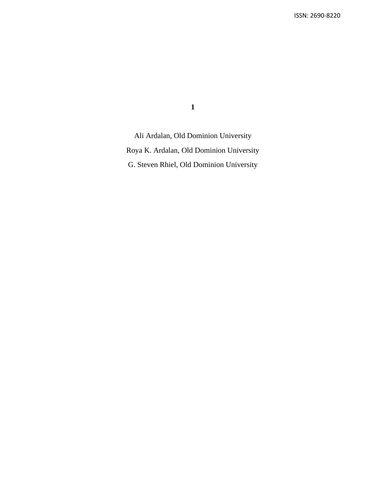**1**

Ali Ardalan, Old Dominion University Roya K. Ardalan, Old Dominion University G. Steven Rhiel, Old Dominion University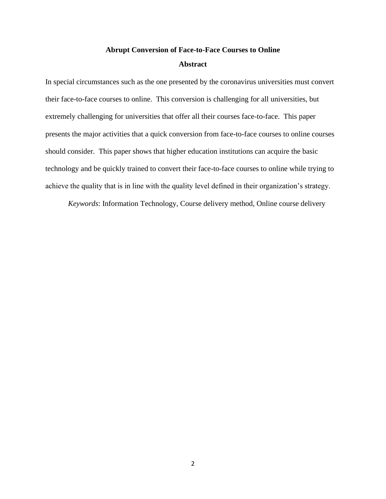# **Abrupt Conversion of Face-to-Face Courses to Online Abstract**

In special circumstances such as the one presented by the coronavirus universities must convert their face-to-face courses to online. This conversion is challenging for all universities, but extremely challenging for universities that offer all their courses face-to-face. This paper presents the major activities that a quick conversion from face-to-face courses to online courses should consider. This paper shows that higher education institutions can acquire the basic technology and be quickly trained to convert their face-to-face courses to online while trying to achieve the quality that is in line with the quality level defined in their organization's strategy.

*Keywords*: Information Technology, Course delivery method, Online course delivery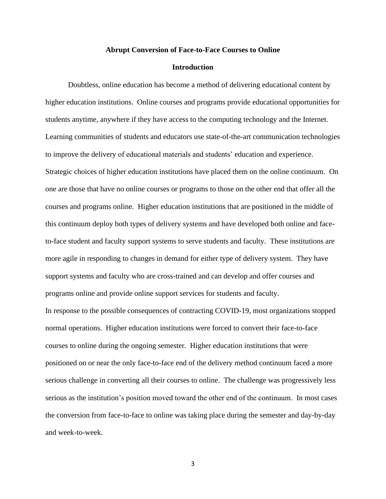#### **Abrupt Conversion of Face-to-Face Courses to Online**

# **Introduction**

Doubtless, online education has become a method of delivering educational content by higher education institutions. Online courses and programs provide educational opportunities for students anytime, anywhere if they have access to the computing technology and the Internet. Learning communities of students and educators use state-of-the-art communication technologies to improve the delivery of educational materials and students' education and experience. Strategic choices of higher education institutions have placed them on the online continuum. On one are those that have no online courses or programs to those on the other end that offer all the courses and programs online. Higher education institutions that are positioned in the middle of this continuum deploy both types of delivery systems and have developed both online and faceto-face student and faculty support systems to serve students and faculty. These institutions are more agile in responding to changes in demand for either type of delivery system. They have support systems and faculty who are cross-trained and can develop and offer courses and programs online and provide online support services for students and faculty. In response to the possible consequences of contracting COVID-19, most organizations stopped normal operations. Higher education institutions were forced to convert their face-to-face courses to online during the ongoing semester. Higher education institutions that were positioned on or near the only face-to-face end of the delivery method continuum faced a more serious challenge in converting all their courses to online. The challenge was progressively less serious as the institution's position moved toward the other end of the continuum. In most cases the conversion from face-to-face to online was taking place during the semester and day-by-day

and week-to-week.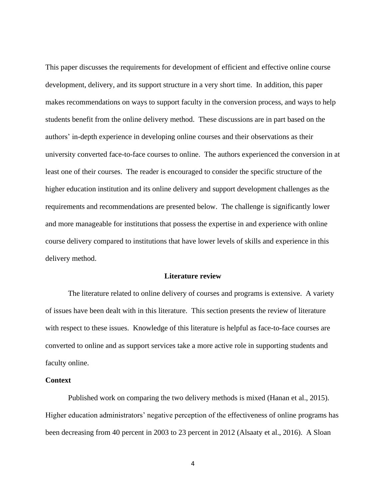This paper discusses the requirements for development of efficient and effective online course development, delivery, and its support structure in a very short time. In addition, this paper makes recommendations on ways to support faculty in the conversion process, and ways to help students benefit from the online delivery method. These discussions are in part based on the authors' in-depth experience in developing online courses and their observations as their university converted face-to-face courses to online. The authors experienced the conversion in at least one of their courses. The reader is encouraged to consider the specific structure of the higher education institution and its online delivery and support development challenges as the requirements and recommendations are presented below. The challenge is significantly lower and more manageable for institutions that possess the expertise in and experience with online course delivery compared to institutions that have lower levels of skills and experience in this delivery method.

#### **Literature review**

The literature related to online delivery of courses and programs is extensive. A variety of issues have been dealt with in this literature. This section presents the review of literature with respect to these issues. Knowledge of this literature is helpful as face-to-face courses are converted to online and as support services take a more active role in supporting students and faculty online.

# **Context**

Published work on comparing the two delivery methods is mixed (Hanan et al., 2015). Higher education administrators' negative perception of the effectiveness of online programs has been decreasing from 40 percent in 2003 to 23 percent in 2012 (Alsaaty et al., 2016). A Sloan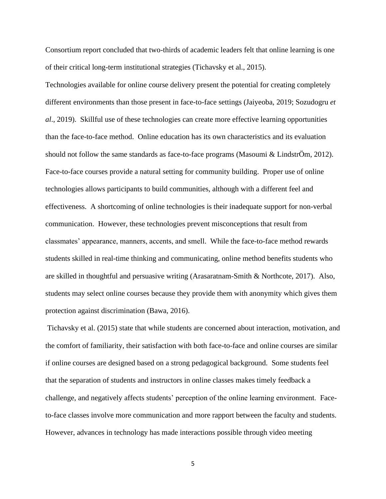Consortium report concluded that two-thirds of academic leaders felt that online learning is one of their critical long-term institutional strategies (Tichavsky et al., 2015).

Technologies available for online course delivery present the potential for creating completely different environments than those present in face-to-face settings (Jaiyeoba, 2019; Sozudogru *et al*., 2019). Skillful use of these technologies can create more effective learning opportunities than the face-to-face method. Online education has its own characteristics and its evaluation should not follow the same standards as face-to-face programs (Masoumi & LindstrÖm, 2012). Face-to-face courses provide a natural setting for community building. Proper use of online technologies allows participants to build communities, although with a different feel and effectiveness. A shortcoming of online technologies is their inadequate support for non-verbal communication. However, these technologies prevent misconceptions that result from classmates' appearance, manners, accents, and smell. While the face-to-face method rewards students skilled in real-time thinking and communicating, online method benefits students who are skilled in thoughtful and persuasive writing (Arasaratnam-Smith & Northcote, 2017). Also, students may select online courses because they provide them with anonymity which gives them protection against discrimination (Bawa, 2016).

Tichavsky et al. (2015) state that while students are concerned about interaction, motivation, and the comfort of familiarity, their satisfaction with both face-to-face and online courses are similar if online courses are designed based on a strong pedagogical background. Some students feel that the separation of students and instructors in online classes makes timely feedback a challenge, and negatively affects students' perception of the online learning environment. Faceto-face classes involve more communication and more rapport between the faculty and students. However, advances in technology has made interactions possible through video meeting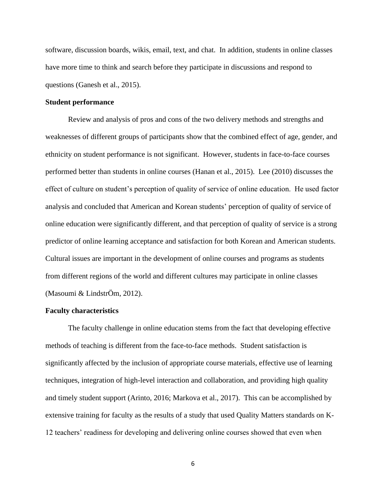software, discussion boards, wikis, email, text, and chat. In addition, students in online classes have more time to think and search before they participate in discussions and respond to questions (Ganesh et al., 2015).

# **Student performance**

Review and analysis of pros and cons of the two delivery methods and strengths and weaknesses of different groups of participants show that the combined effect of age, gender, and ethnicity on student performance is not significant. However, students in face-to-face courses performed better than students in online courses (Hanan et al., 2015). Lee (2010) discusses the effect of culture on student's perception of quality of service of online education. He used factor analysis and concluded that American and Korean students' perception of quality of service of online education were significantly different, and that perception of quality of service is a strong predictor of online learning acceptance and satisfaction for both Korean and American students. Cultural issues are important in the development of online courses and programs as students from different regions of the world and different cultures may participate in online classes (Masoumi & LindstrÖm, 2012).

#### **Faculty characteristics**

The faculty challenge in online education stems from the fact that developing effective methods of teaching is different from the face-to-face methods. Student satisfaction is significantly affected by the inclusion of appropriate course materials, effective use of learning techniques, integration of high-level interaction and collaboration, and providing high quality and timely student support (Arinto, 2016; Markova et al., 2017). This can be accomplished by extensive training for faculty as the results of a study that used Quality Matters standards on K-12 teachers' readiness for developing and delivering online courses showed that even when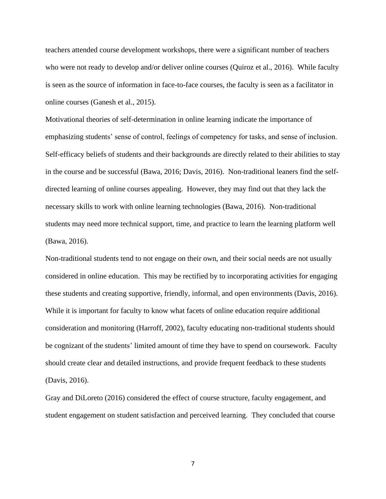teachers attended course development workshops, there were a significant number of teachers who were not ready to develop and/or deliver online courses (Quiroz et al., 2016). While faculty is seen as the source of information in face-to-face courses, the faculty is seen as a facilitator in online courses (Ganesh et al., 2015).

Motivational theories of self-determination in online learning indicate the importance of emphasizing students' sense of control, feelings of competency for tasks, and sense of inclusion. Self-efficacy beliefs of students and their backgrounds are directly related to their abilities to stay in the course and be successful (Bawa, 2016; Davis, 2016). Non-traditional leaners find the selfdirected learning of online courses appealing. However, they may find out that they lack the necessary skills to work with online learning technologies (Bawa, 2016). Non-traditional students may need more technical support, time, and practice to learn the learning platform well (Bawa, 2016).

Non-traditional students tend to not engage on their own, and their social needs are not usually considered in online education. This may be rectified by to incorporating activities for engaging these students and creating supportive, friendly, informal, and open environments (Davis, 2016). While it is important for faculty to know what facets of online education require additional consideration and monitoring (Harroff, 2002), faculty educating non-traditional students should be cognizant of the students' limited amount of time they have to spend on coursework. Faculty should create clear and detailed instructions, and provide frequent feedback to these students (Davis, 2016).

Gray and DiLoreto (2016) considered the effect of course structure, faculty engagement, and student engagement on student satisfaction and perceived learning. They concluded that course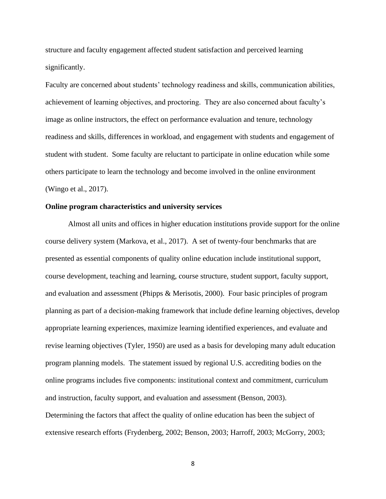structure and faculty engagement affected student satisfaction and perceived learning significantly.

Faculty are concerned about students' technology readiness and skills, communication abilities, achievement of learning objectives, and proctoring. They are also concerned about faculty's image as online instructors, the effect on performance evaluation and tenure, technology readiness and skills, differences in workload, and engagement with students and engagement of student with student. Some faculty are reluctant to participate in online education while some others participate to learn the technology and become involved in the online environment (Wingo et al., 2017).

#### **Online program characteristics and university services**

Almost all units and offices in higher education institutions provide support for the online course delivery system (Markova, et al., 2017). A set of twenty-four benchmarks that are presented as essential components of quality online education include institutional support, course development, teaching and learning, course structure, student support, faculty support, and evaluation and assessment (Phipps & Merisotis, 2000). Four basic principles of program planning as part of a decision-making framework that include define learning objectives, develop appropriate learning experiences, maximize learning identified experiences, and evaluate and revise learning objectives (Tyler, 1950) are used as a basis for developing many adult education program planning models. The statement issued by regional U.S. accrediting bodies on the online programs includes five components: institutional context and commitment, curriculum and instruction, faculty support, and evaluation and assessment (Benson, 2003). Determining the factors that affect the quality of online education has been the subject of extensive research efforts (Frydenberg, 2002; Benson, 2003; Harroff, 2003; McGorry, 2003;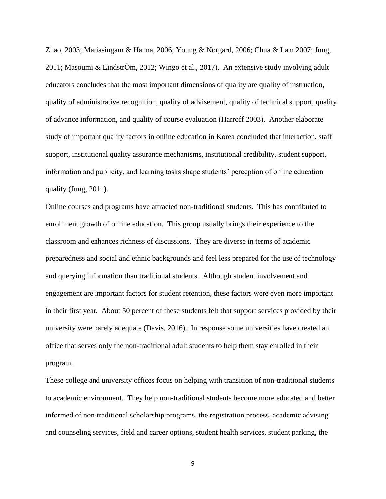Zhao, 2003; Mariasingam & Hanna, 2006; Young & Norgard, 2006; Chua & Lam 2007; Jung, 2011; Masoumi & LindstrÖm, 2012; Wingo et al., 2017). An extensive study involving adult educators concludes that the most important dimensions of quality are quality of instruction, quality of administrative recognition, quality of advisement, quality of technical support, quality of advance information, and quality of course evaluation (Harroff 2003). Another elaborate study of important quality factors in online education in Korea concluded that interaction, staff support, institutional quality assurance mechanisms, institutional credibility, student support, information and publicity, and learning tasks shape students' perception of online education quality (Jung, 2011).

Online courses and programs have attracted non-traditional students. This has contributed to enrollment growth of online education. This group usually brings their experience to the classroom and enhances richness of discussions. They are diverse in terms of academic preparedness and social and ethnic backgrounds and feel less prepared for the use of technology and querying information than traditional students. Although student involvement and engagement are important factors for student retention, these factors were even more important in their first year. About 50 percent of these students felt that support services provided by their university were barely adequate (Davis, 2016). In response some universities have created an office that serves only the non-traditional adult students to help them stay enrolled in their program.

These college and university offices focus on helping with transition of non-traditional students to academic environment. They help non-traditional students become more educated and better informed of non-traditional scholarship programs, the registration process, academic advising and counseling services, field and career options, student health services, student parking, the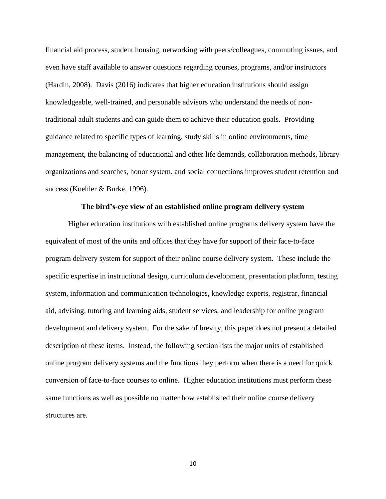financial aid process, student housing, networking with peers/colleagues, commuting issues, and even have staff available to answer questions regarding courses, programs, and/or instructors (Hardin, 2008). Davis (2016) indicates that higher education institutions should assign knowledgeable, well-trained, and personable advisors who understand the needs of nontraditional adult students and can guide them to achieve their education goals. Providing guidance related to specific types of learning, study skills in online environments, time management, the balancing of educational and other life demands, collaboration methods, library organizations and searches, honor system, and social connections improves student retention and success (Koehler & Burke, 1996).

#### **The bird's-eye view of an established online program delivery system**

Higher education institutions with established online programs delivery system have the equivalent of most of the units and offices that they have for support of their face-to-face program delivery system for support of their online course delivery system. These include the specific expertise in instructional design, curriculum development, presentation platform, testing system, information and communication technologies, knowledge experts, registrar, financial aid, advising, tutoring and learning aids, student services, and leadership for online program development and delivery system. For the sake of brevity, this paper does not present a detailed description of these items. Instead, the following section lists the major units of established online program delivery systems and the functions they perform when there is a need for quick conversion of face-to-face courses to online. Higher education institutions must perform these same functions as well as possible no matter how established their online course delivery structures are.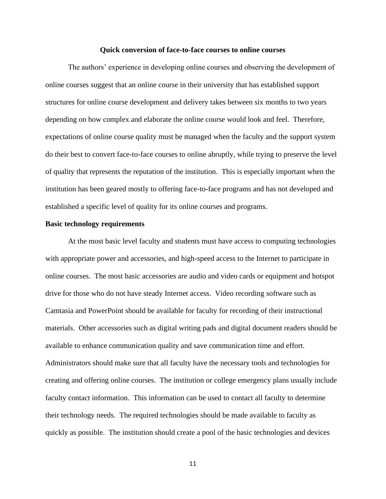#### **Quick conversion of face-to-face courses to online courses**

The authors' experience in developing online courses and observing the development of online courses suggest that an online course in their university that has established support structures for online course development and delivery takes between six months to two years depending on how complex and elaborate the online course would look and feel. Therefore, expectations of online course quality must be managed when the faculty and the support system do their best to convert face-to-face courses to online abruptly, while trying to preserve the level of quality that represents the reputation of the institution. This is especially important when the institution has been geared mostly to offering face-to-face programs and has not developed and established a specific level of quality for its online courses and programs.

# **Basic technology requirements**

At the most basic level faculty and students must have access to computing technologies with appropriate power and accessories, and high-speed access to the Internet to participate in online courses. The most basic accessories are audio and video cards or equipment and hotspot drive for those who do not have steady Internet access. Video recording software such as Camtasia and PowerPoint should be available for faculty for recording of their instructional materials. Other accessories such as digital writing pads and digital document readers should be available to enhance communication quality and save communication time and effort. Administrators should make sure that all faculty have the necessary tools and technologies for creating and offering online courses. The institution or college emergency plans usually include faculty contact information. This information can be used to contact all faculty to determine their technology needs. The required technologies should be made available to faculty as quickly as possible. The institution should create a pool of the basic technologies and devices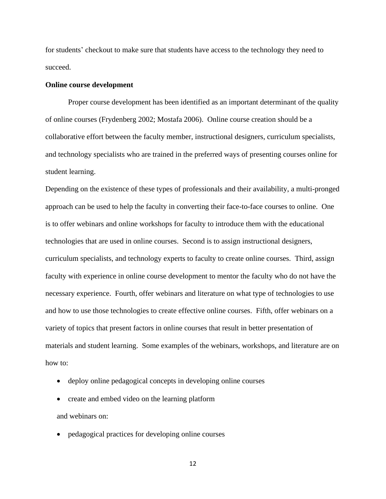for students' checkout to make sure that students have access to the technology they need to succeed.

# **Online course development**

Proper course development has been identified as an important determinant of the quality of online courses (Frydenberg 2002; Mostafa 2006). Online course creation should be a collaborative effort between the faculty member, instructional designers, curriculum specialists, and technology specialists who are trained in the preferred ways of presenting courses online for student learning.

Depending on the existence of these types of professionals and their availability, a multi-pronged approach can be used to help the faculty in converting their face-to-face courses to online. One is to offer webinars and online workshops for faculty to introduce them with the educational technologies that are used in online courses. Second is to assign instructional designers, curriculum specialists, and technology experts to faculty to create online courses. Third, assign faculty with experience in online course development to mentor the faculty who do not have the necessary experience. Fourth, offer webinars and literature on what type of technologies to use and how to use those technologies to create effective online courses. Fifth, offer webinars on a variety of topics that present factors in online courses that result in better presentation of materials and student learning. Some examples of the webinars, workshops, and literature are on how to:

- deploy online pedagogical concepts in developing online courses
- create and embed video on the learning platform
- and webinars on:
- pedagogical practices for developing online courses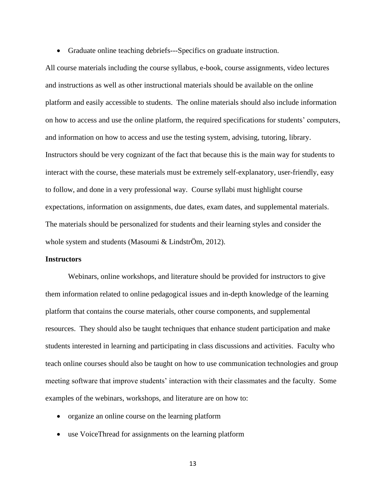• Graduate online teaching debriefs—Specifics on graduate instruction.

All course materials including the course syllabus, e-book, course assignments, video lectures and instructions as well as other instructional materials should be available on the online platform and easily accessible to students. The online materials should also include information on how to access and use the online platform, the required specifications for students' computers, and information on how to access and use the testing system, advising, tutoring, library. Instructors should be very cognizant of the fact that because this is the main way for students to interact with the course, these materials must be extremely self-explanatory, user-friendly, easy to follow, and done in a very professional way. Course syllabi must highlight course expectations, information on assignments, due dates, exam dates, and supplemental materials. The materials should be personalized for students and their learning styles and consider the whole system and students (Masoumi & LindstrÖm, 2012).

# **Instructors**

Webinars, online workshops, and literature should be provided for instructors to give them information related to online pedagogical issues and in-depth knowledge of the learning platform that contains the course materials, other course components, and supplemental resources. They should also be taught techniques that enhance student participation and make students interested in learning and participating in class discussions and activities. Faculty who teach online courses should also be taught on how to use communication technologies and group meeting software that improve students' interaction with their classmates and the faculty. Some examples of the webinars, workshops, and literature are on how to:

- organize an online course on the learning platform
- use VoiceThread for assignments on the learning platform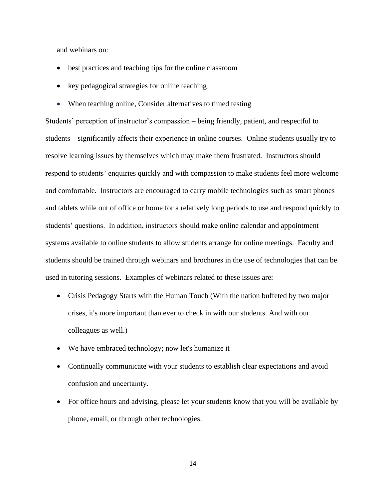and webinars on:

- best practices and teaching tips for the online classroom
- key pedagogical strategies for online teaching
- When teaching online, Consider alternatives to timed testing

Students' perception of instructor's compassion – being friendly, patient, and respectful to students – significantly affects their experience in online courses. Online students usually try to resolve learning issues by themselves which may make them frustrated. Instructors should respond to students' enquiries quickly and with compassion to make students feel more welcome and comfortable. Instructors are encouraged to carry mobile technologies such as smart phones and tablets while out of office or home for a relatively long periods to use and respond quickly to students' questions. In addition, instructors should make online calendar and appointment systems available to online students to allow students arrange for online meetings. Faculty and students should be trained through webinars and brochures in the use of technologies that can be used in tutoring sessions. Examples of webinars related to these issues are:

- Crisis Pedagogy Starts with the Human Touch (With the nation buffeted by two major crises, it's more important than ever to check in with our students. And with our colleagues as well.)
- We have embraced technology; now let's humanize it
- Continually communicate with your students to establish clear expectations and avoid confusion and uncertainty.
- For office hours and advising, please let your students know that you will be available by phone, email, or through other technologies.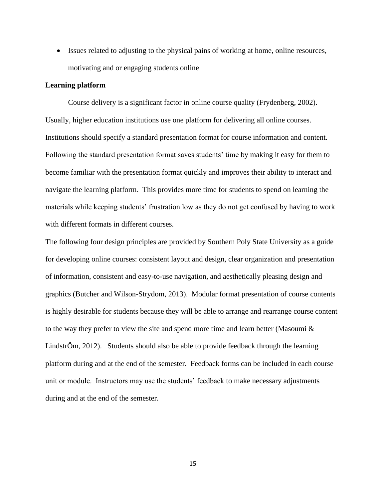• Issues related to adjusting to the physical pains of working at home, online resources, motivating and or engaging students online

# **Learning platform**

Course delivery is a significant factor in online course quality (Frydenberg, 2002). Usually, higher education institutions use one platform for delivering all online courses. Institutions should specify a standard presentation format for course information and content. Following the standard presentation format saves students' time by making it easy for them to become familiar with the presentation format quickly and improves their ability to interact and navigate the learning platform. This provides more time for students to spend on learning the materials while keeping students' frustration low as they do not get confused by having to work with different formats in different courses.

The following four design principles are provided by Southern Poly State University as a guide for developing online courses: consistent layout and design, clear organization and presentation of information, consistent and easy-to-use navigation, and aesthetically pleasing design and graphics (Butcher and Wilson-Strydom, 2013). Modular format presentation of course contents is highly desirable for students because they will be able to arrange and rearrange course content to the way they prefer to view the site and spend more time and learn better (Masoumi  $\&$ LindstrÖm, 2012). Students should also be able to provide feedback through the learning platform during and at the end of the semester. Feedback forms can be included in each course unit or module. Instructors may use the students' feedback to make necessary adjustments during and at the end of the semester.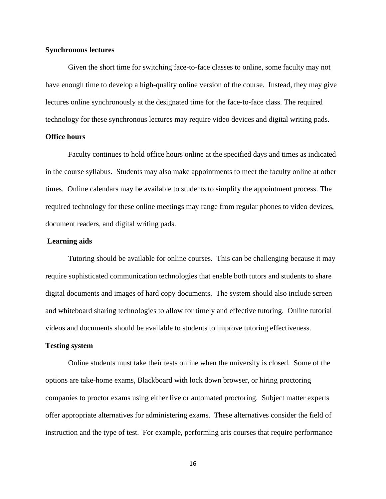# **Synchronous lectures**

Given the short time for switching face-to-face classes to online, some faculty may not have enough time to develop a high-quality online version of the course. Instead, they may give lectures online synchronously at the designated time for the face-to-face class. The required technology for these synchronous lectures may require video devices and digital writing pads.

# **Office hours**

Faculty continues to hold office hours online at the specified days and times as indicated in the course syllabus. Students may also make appointments to meet the faculty online at other times. Online calendars may be available to students to simplify the appointment process. The required technology for these online meetings may range from regular phones to video devices, document readers, and digital writing pads.

#### **Learning aids**

Tutoring should be available for online courses. This can be challenging because it may require sophisticated communication technologies that enable both tutors and students to share digital documents and images of hard copy documents. The system should also include screen and whiteboard sharing technologies to allow for timely and effective tutoring. Online tutorial videos and documents should be available to students to improve tutoring effectiveness.

#### **Testing system**

Online students must take their tests online when the university is closed. Some of the options are take-home exams, Blackboard with lock down browser, or hiring proctoring companies to proctor exams using either live or automated proctoring. Subject matter experts offer appropriate alternatives for administering exams. These alternatives consider the field of instruction and the type of test. For example, performing arts courses that require performance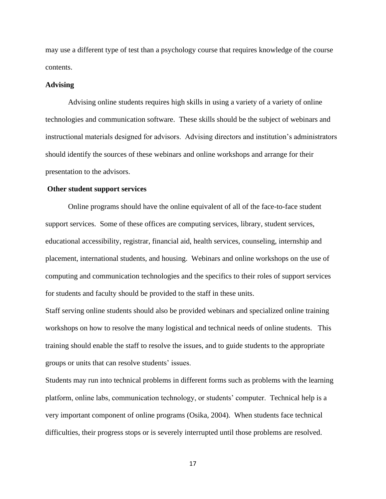may use a different type of test than a psychology course that requires knowledge of the course contents.

#### **Advising**

Advising online students requires high skills in using a variety of a variety of online technologies and communication software. These skills should be the subject of webinars and instructional materials designed for advisors. Advising directors and institution's administrators should identify the sources of these webinars and online workshops and arrange for their presentation to the advisors.

#### **Other student support services**

Online programs should have the online equivalent of all of the face-to-face student support services. Some of these offices are computing services, library, student services, educational accessibility, registrar, financial aid, health services, counseling, internship and placement, international students, and housing. Webinars and online workshops on the use of computing and communication technologies and the specifics to their roles of support services for students and faculty should be provided to the staff in these units.

Staff serving online students should also be provided webinars and specialized online training workshops on how to resolve the many logistical and technical needs of online students. This training should enable the staff to resolve the issues, and to guide students to the appropriate groups or units that can resolve students' issues.

Students may run into technical problems in different forms such as problems with the learning platform, online labs, communication technology, or students' computer. Technical help is a very important component of online programs (Osika, 2004). When students face technical difficulties, their progress stops or is severely interrupted until those problems are resolved.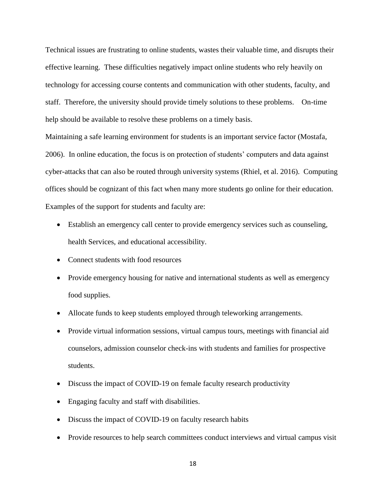Technical issues are frustrating to online students, wastes their valuable time, and disrupts their effective learning. These difficulties negatively impact online students who rely heavily on technology for accessing course contents and communication with other students, faculty, and staff. Therefore, the university should provide timely solutions to these problems. On-time help should be available to resolve these problems on a timely basis.

Maintaining a safe learning environment for students is an important service factor (Mostafa, 2006). In online education, the focus is on protection of students' computers and data against cyber-attacks that can also be routed through university systems (Rhiel, et al. 2016). Computing offices should be cognizant of this fact when many more students go online for their education. Examples of the support for students and faculty are:

- Establish an emergency call center to provide emergency services such as counseling, health Services, and educational accessibility.
- Connect students with food resources
- Provide emergency housing for native and international students as well as emergency food supplies.
- Allocate funds to keep students employed through teleworking arrangements.
- Provide virtual information sessions, virtual campus tours, meetings with financial aid counselors, admission counselor check-ins with students and families for prospective students.
- Discuss the impact of COVID-19 on female faculty research productivity
- Engaging faculty and staff with disabilities.
- Discuss the impact of COVID-19 on faculty research habits
- Provide resources to help search committees conduct interviews and virtual campus visit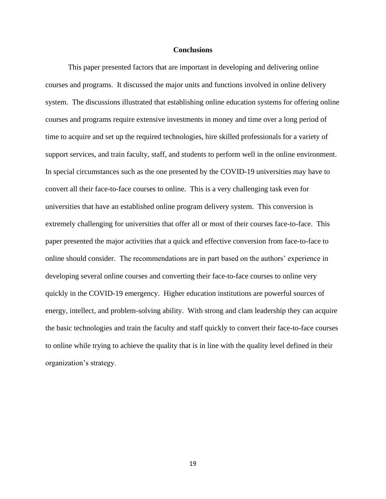### **Conclusions**

This paper presented factors that are important in developing and delivering online courses and programs. It discussed the major units and functions involved in online delivery system. The discussions illustrated that establishing online education systems for offering online courses and programs require extensive investments in money and time over a long period of time to acquire and set up the required technologies, hire skilled professionals for a variety of support services, and train faculty, staff, and students to perform well in the online environment. In special circumstances such as the one presented by the COVID-19 universities may have to convert all their face-to-face courses to online. This is a very challenging task even for universities that have an established online program delivery system. This conversion is extremely challenging for universities that offer all or most of their courses face-to-face. This paper presented the major activities that a quick and effective conversion from face-to-face to online should consider. The recommendations are in part based on the authors' experience in developing several online courses and converting their face-to-face courses to online very quickly in the COVID-19 emergency. Higher education institutions are powerful sources of energy, intellect, and problem-solving ability. With strong and clam leadership they can acquire the basic technologies and train the faculty and staff quickly to convert their face-to-face courses to online while trying to achieve the quality that is in line with the quality level defined in their organization's strategy.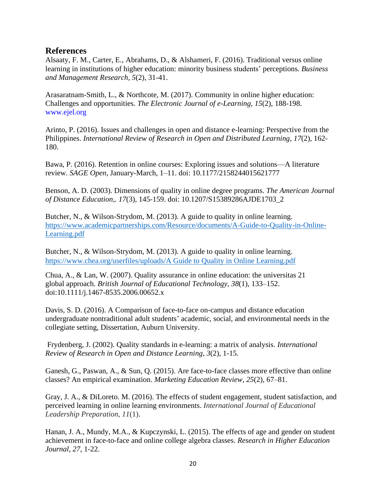# **References**

Alsaaty, F. M., Carter, E., Abrahams, D., & Alshameri, F. (2016). Traditional versus online learning in institutions of higher education: minority business students' perceptions. *Business and Management Research, 5*(2), 31-41.

Arasaratnam-Smith, L., & Northcote, M. (2017). Community in online higher education: Challenges and opportunities. *The Electronic Journal of e-Learning, 15*(2), 188-198. www.ejel.org

Arinto, P. (2016). Issues and challenges in open and distance e-learning: Perspective from the Philippines. *International Review of Research in Open and Distributed Learning*, *17*(2), 162- 180.

Bawa, P. (2016). Retention in online courses: Exploring issues and solutions—A literature review. *SAGE Open*, January-March, 1–11. doi: 10.1177/2158244015621777

Benson, A. D. (2003). Dimensions of quality in online degree programs. *The American Journal of Distance Education,. 17*(3), 145-159. doi: 10.1207/S15389286AJDE1703\_2

Butcher, N., & Wilson-Strydom, M. (2013). A guide to quality in online learning. [https://www.academicpartnerships.com/Resource/documents/A-Guide-to-Quality-in-Online-](https://www.academicpartnerships.com/Resource/documents/A-Guide-to-Quality-in-Online-Learning.pdf)[Learning.pdf](https://www.academicpartnerships.com/Resource/documents/A-Guide-to-Quality-in-Online-Learning.pdf)

Butcher, N., & Wilson-Strydom, M. (2013). A guide to quality in online learning. [https://www.chea.org/userfiles/uploads/A Guide to Quality in Online Learning.pdf](https://www.chea.org/userfiles/uploads/A%20Guide%20to%20Quality%20in%20Online%20Learning.pdf)

Chua, A., & Lan, W. (2007). Quality assurance in online education: the universitas 21 global approach. *British Journal of Educational Technology, 38*(1), 133–152. doi:10.1111/j.1467-8535.2006.00652.x

Davis, S. D. (2016). A Comparison of face-to-face on-campus and distance education undergraduate nontraditional adult students' academic, social, and environmental needs in the collegiate setting, Dissertation, Auburn University.

Frydenberg, J. (2002). Quality standards in e-learning: a matrix of analysis. *International Review of Research in Open and Distance Learning, 3*(2), 1-15.

Ganesh, G., Paswan, A., & Sun, Q. (2015). Are face-to-face classes more effective than online classes? An empirical examination. *Marketing Education Review, 25*(2), 67–81.

Gray, J. A., & DiLoreto. M. (2016). The effects of student engagement, student satisfaction, and perceived learning in online learning environments. *International Journal of Educational Leadership Preparation*, *11*(1).

Hanan, J. A., Mundy, M.A., & Kupczynski, L. (2015). The effects of age and gender on student achievement in face-to-face and online college algebra classes. *Research in Higher Education Journal*, *27*, 1-22.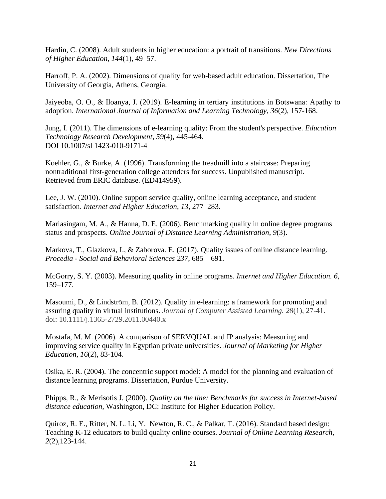Hardin, C. (2008). Adult students in higher education: a portrait of transitions. *New Directions of Higher Education*, *144*(1), 49–57.

Harroff, P. A. (2002). Dimensions of quality for web-based adult education. Dissertation, The University of Georgia, Athens, Georgia.

Jaiyeoba, O. O., & Iloanya, J. (2019). E-learning in tertiary institutions in Botswana: Apathy to adoption. *International Journal of Information and Learning Technology, 36*(2), 157-168.

Jung, I. (2011). The dimensions of e-learning quality: From the student's perspective. *Education Technology Research Development, 59*(4), 445-464. DOI 10.1007/sl 1423-010-9171-4

Koehler, G., & Burke, A. (1996). Transforming the treadmill into a staircase: Preparing nontraditional first-generation college attenders for success. Unpublished manuscript. Retrieved from ERIC database. (ED414959).

Lee, J. W. (2010). Online support service quality, online learning acceptance, and student satisfaction. *Internet and Higher Education*, *13*, 277–283.

Mariasingam, M. A., & Hanna, D. E. (2006). Benchmarking quality in online degree programs status and prospects. *Online Journal of Distance Learning Administration*, *9*(3).

Markova, T., Glazkova, I., & Zaborova. E. (2017). Quality issues of online distance learning. *Procedia - Social and Behavioral Sciences 237*, 685 – 691.

McGorry, S. Y. (2003). Measuring quality in online programs. *Internet and Higher Education. 6*, 159–177.

Masoumi, D., & Lindström, B. (2012). Quality in e-learning: a framework for promoting and assuring quality in virtual institutions. *Journal of Computer Assisted Learning. 28*(1), 27-41. doi: 10.1111/j.1365-2729.2011.00440.x

Mostafa, M. M. (2006). A comparison of SERVQUAL and IP analysis: Measuring and improving service quality in Egyptian private universities. *Journal of Marketing for Higher Education, 16*(2), 83-104.

Osika, E. R. (2004). The concentric support model: A model for the planning and evaluation of distance learning programs. Dissertation, Purdue University.

Phipps, R., & Merisotis J. (2000). *Quality on the line: Benchmarks for success in Internet-based distance education,* Washington, DC: Institute for Higher Education Policy.

Quiroz, R. E., Ritter, N. L. Li, Y. Newton, R. C., & Palkar, T. (2016). Standard based design: Teaching K-12 educators to build quality online courses. *Journal of Online Learning Research, 2*(2)*,*123-144.